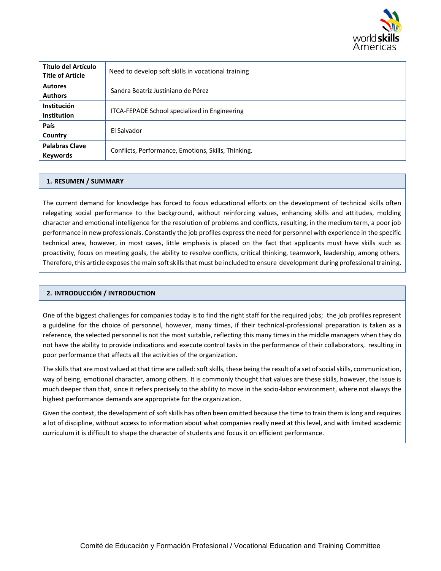

| Título del Artículo<br><b>Title of Article</b> | Need to develop soft skills in vocational training  |
|------------------------------------------------|-----------------------------------------------------|
| <b>Autores</b><br><b>Authors</b>               | Sandra Beatriz Justiniano de Pérez                  |
| <b>Institución</b><br><b>Institution</b>       | ITCA-FEPADE School specialized in Engineering       |
| País<br>Country                                | El Salvador                                         |
| <b>Palabras Clave</b><br><b>Keywords</b>       | Conflicts, Performance, Emotions, Skills, Thinking. |

# **1. RESUMEN / SUMMARY**

The current demand for knowledge has forced to focus educational efforts on the development of technical skills often relegating social performance to the background, without reinforcing values, enhancing skills and attitudes, molding character and emotional intelligence for the resolution of problems and conflicts, resulting, in the medium term, a poor job performance in new professionals. Constantly the job profiles express the need for personnel with experience in the specific technical area, however, in most cases, little emphasis is placed on the fact that applicants must have skills such as proactivity, focus on meeting goals, the ability to resolve conflicts, critical thinking, teamwork, leadership, among others. Therefore, this article exposes the main soft skills that must be included to ensure development during professional training.

### **2. INTRODUCCIÓN / INTRODUCTION**

One of the biggest challenges for companies today is to find the right staff for the required jobs; the job profiles represent a guideline for the choice of personnel, however, many times, if their technical-professional preparation is taken as a reference, the selected personnel is not the most suitable, reflecting this many times in the middle managers when they do not have the ability to provide indications and execute control tasks in the performance of their collaborators, resulting in poor performance that affects all the activities of the organization.

The skills that are most valued at that time are called: soft skills, these being the result of a set of social skills, communication, way of being, emotional character, among others. It is commonly thought that values are these skills, however, the issue is much deeper than that, since it refers precisely to the ability to move in the socio-labor environment, where not always the highest performance demands are appropriate for the organization.

Given the context, the development of soft skills has often been omitted because the time to train them is long and requires a lot of discipline, without access to information about what companies really need at this level, and with limited academic curriculum it is difficult to shape the character of students and focus it on efficient performance.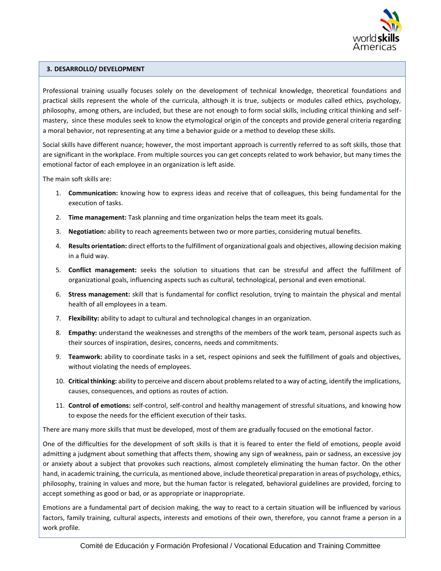

# **3. DESARROLLO/ DEVELOPMENT**

Professional training usually focuses solely on the development of technical knowledge, theoretical foundations and practical skills represent the whole of the curricula, although it is true, subjects or modules called ethics, psychology, philosophy, among others, are included, but these are not enough to form social skills, including critical thinking and selfmastery, since these modules seek to know the etymological origin of the concepts and provide general criteria regarding a moral behavior, not representing at any time a behavior guide or a method to develop these skills.

Social skills have different nuance; however, the most important approach is currently referred to as soft skills, those that are significant in the workplace. From multiple sources you can get concepts related to work behavior, but many times the emotional factor of each employee in an organization is left aside.

The main soft skills are:

- 1. **Communication:** knowing how to express ideas and receive that of colleagues, this being fundamental for the execution of tasks.
- 2. **Time management:** Task planning and time organization helps the team meet its goals.
- 3. **Negotiation:** ability to reach agreements between two or more parties, considering mutual benefits.
- 4. **Results orientation:** direct efforts to the fulfillment of organizational goals and objectives, allowing decision making in a fluid way.
- 5. **Conflict management:** seeks the solution to situations that can be stressful and affect the fulfillment of organizational goals, influencing aspects such as cultural, technological, personal and even emotional.
- 6. **Stress management:** skill that is fundamental for conflict resolution, trying to maintain the physical and mental health of all employees in a team.
- 7. **Flexibility:** ability to adapt to cultural and technological changes in an organization.
- 8. **Empathy:** understand the weaknesses and strengths of the members of the work team, personal aspects such as their sources of inspiration, desires, concerns, needs and commitments.
- 9. **Teamwork:** ability to coordinate tasks in a set, respect opinions and seek the fulfillment of goals and objectives, without violating the needs of employees.
- 10. **Critical thinking:** ability to perceive and discern about problems related to a way of acting, identify the implications, causes, consequences, and options as routes of action.
- 11. **Control of emotions:** self-control, self-control and healthy management of stressful situations, and knowing how to expose the needs for the efficient execution of their tasks.

There are many more skills that must be developed, most of them are gradually focused on the emotional factor.

One of the difficulties for the development of soft skills is that it is feared to enter the field of emotions, people avoid admitting a judgment about something that affects them, showing any sign of weakness, pain or sadness, an excessive joy or anxiety about a subject that provokes such reactions, almost completely eliminating the human factor. On the other hand, in academic training, the curricula, as mentioned above, include theoretical preparation in areas of psychology, ethics, philosophy, training in values and more, but the human factor is relegated, behavioral guidelines are provided, forcing to accept something as good or bad, or as appropriate or inappropriate.

Emotions are a fundamental part of decision making, the way to react to a certain situation will be influenced by various factors, family training, cultural aspects, interests and emotions of their own, therefore, you cannot frame a person in a work profile.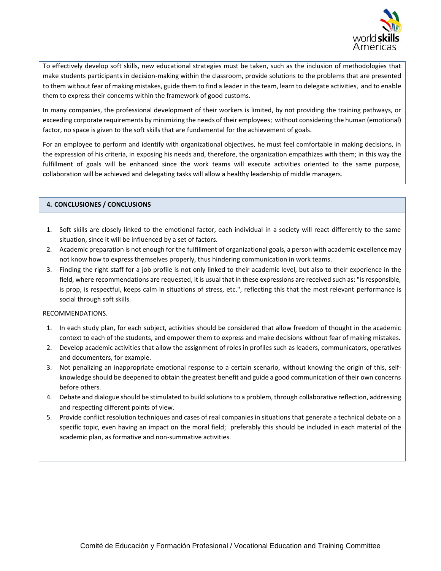

To effectively develop soft skills, new educational strategies must be taken, such as the inclusion of methodologies that make students participants in decision-making within the classroom, provide solutions to the problems that are presented to them without fear of making mistakes, guide them to find a leader in the team, learn to delegate activities, and to enable them to express their concerns within the framework of good customs.

In many companies, the professional development of their workers is limited, by not providing the training pathways, or exceeding corporate requirements by minimizing the needs of their employees; without considering the human (emotional) factor, no space is given to the soft skills that are fundamental for the achievement of goals.

For an employee to perform and identify with organizational objectives, he must feel comfortable in making decisions, in the expression of his criteria, in exposing his needs and, therefore, the organization empathizes with them; in this way the fulfillment of goals will be enhanced since the work teams will execute activities oriented to the same purpose, collaboration will be achieved and delegating tasks will allow a healthy leadership of middle managers.

### **4. CONCLUSIONES / CONCLUSIONS**

- 1. Soft skills are closely linked to the emotional factor, each individual in a society will react differently to the same situation, since it will be influenced by a set of factors.
- 2. Academic preparation is not enough for the fulfillment of organizational goals, a person with academic excellence may not know how to express themselves properly, thus hindering communication in work teams.
- 3. Finding the right staff for a job profile is not only linked to their academic level, but also to their experience in the field, where recommendations are requested, it is usual that in these expressions are received such as: "is responsible, is prop, is respectful, keeps calm in situations of stress, etc.", reflecting this that the most relevant performance is social through soft skills.

### RECOMMENDATIONS.

- 1. In each study plan, for each subject, activities should be considered that allow freedom of thought in the academic context to each of the students, and empower them to express and make decisions without fear of making mistakes.
- 2. Develop academic activities that allow the assignment of roles in profiles such as leaders, communicators, operatives and documenters, for example.
- 3. Not penalizing an inappropriate emotional response to a certain scenario, without knowing the origin of this, selfknowledge should be deepened to obtain the greatest benefit and guide a good communication of their own concerns before others.
- 4. Debate and dialogue should be stimulated to build solutions to a problem, through collaborative reflection, addressing and respecting different points of view.
- 5. Provide conflict resolution techniques and cases of real companies in situations that generate a technical debate on a specific topic, even having an impact on the moral field; preferably this should be included in each material of the academic plan, as formative and non-summative activities.